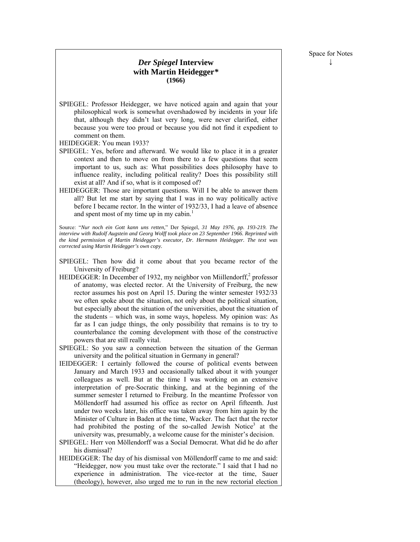Space for Notes  $\perp$ 

## *Der Spiegel* **Interview with Martin Heidegger***\**  **(1966)**

SPIEGEL: Professor Heidegger, we have noticed again and again that your philosophical work is somewhat overshadowed by incidents in your life that, although they didn't last very long, were never clarified, either because you were too proud or because you did not find it expedient to comment on them.

HEIDEGGER: You mean 1933?

- SPIEGEL: Yes, before and afterward. We would like to place it in a greater context and then to move on from there to a few questions that seem important to us, such as: What possibilities does philosophy have to influence reality, including political reality? Does this possibility still exist at all? And if so, what is it composed of?
- HEIDEGGER: Those are important questions. Will I be able to answer them all? But let me start by saying that I was in no way politically active before I became rector. In the winter of 1932/33, I had a leave of absence and spent most of my time up in my cabin. $<sup>1</sup>$ </sup>

Source: "*Nur noch ein Gott kann uns retten,*" Der Spiegel, *31 May 1976, pp. 193-219. The interview with Rudolf Augstein and Georg Wolff took place on 23 September 1966. Reprinted with the kind permission of Martin Heidegger's executor, Dr. Hermann Heidegger. The text was corrected using Martin Heidegger's own copy.* 

- SPIEGEL: Then how did it come about that you became rector of the University of Freiburg?
- HEIDEGGER: In December of 1932, my neighbor von Miillendorff,<sup>2</sup> professor of anatomy, was elected rector. At the University of Freiburg, the new rector assumes his post on April 15. During the winter semester 1932/33 we often spoke about the situation, not only about the political situation, but especially about the situation of the universities, about the situation of the students – which was, in some ways, hopeless. My opinion was: As far as I can judge things, the only possibility that remains is to try to counterbalance the coming development with those of the constructive powers that are still really vital.
- SPIEGEL: So you saw a connection between the situation of the German university and the political situation in Germany in general?
- IEIDEGGER: I certainly followed the course of political events between January and March 1933 and occasionally talked about it with younger colleagues as well. But at the time I was working on an extensive interpretation of pre-Socratic thinking, and at the beginning of the summer semester I returned to Freiburg. In the meantime Professor von Möllendorff had assumed his office as rector on April fifteenth. Just under two weeks later, his office was taken away from him again by the Minister of Culture in Baden at the time, Wacker. The fact that the rector had prohibited the posting of the so-called Jewish Notice<sup>3</sup> at the university was, presumably, a welcome cause for the minister's decision.
- SPIEGEL: Herr von Möllendorff was a Social Democrat. What did he do after his dismissal?
- HEIDEGGER: The day of his dismissal von Möllendorff came to me and said: "Heidegger, now you must take over the rectorate." I said that I had no experience in administration. The vice-rector at the time, Sauer (theology), however, also urged me to run in the new rectorial election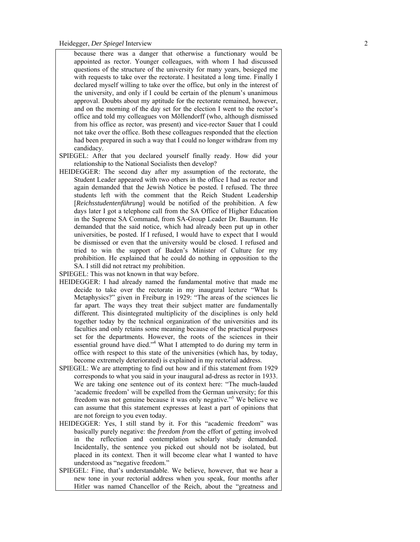because there was a danger that otherwise a functionary would be appointed as rector. Younger colleagues, with whom I had discussed questions of the structure of the university for many years, besieged me with requests to take over the rectorate. I hesitated a long time. Finally I declared myself willing to take over the office, but only in the interest of the university, and only if I could be certain of the plenum's unanimous approval. Doubts about my aptitude for the rectorate remained, however, and on the morning of the day set for the election I went to the rector's office and told my colleagues von Möllendorff (who, although dismissed from his office as rector, was present) and vice-rector Sauer that I could not take over the office. Both these colleagues responded that the election had been prepared in such a way that I could no longer withdraw from my candidacy.

- SPIEGEL: After that you declared yourself finally ready. How did your relationship to the National Socialists then develop?
- HEIDEGGER: The second day after my assumption of the rectorate, the Student Leader appeared with two others in the office I had as rector and again demanded that the Jewish Notice be posted. I refused. The three students left with the comment that the Reich Student Leadership [*Reichsstudentenführung*] would be notified of the prohibition. A few days later I got a telephone call from the SA Office of Higher Education in the Supreme SA Command, from SA-Group Leader Dr. Baumann. He demanded that the said notice, which had already been put up in other universities, be posted. If I refused, I would have to expect that I would be dismissed or even that the university would be closed. I refused and tried to win the support of Baden's Minister of Culture for my prohibition. He explained that he could do nothing in opposition to the SA. I still did not retract my prohibition.

SPIEGEL: This was not known in that way before.

- HEIDEGGER: I had already named the fundamental motive that made me decide to take over the rectorate in my inaugural lecture "What Is Metaphysics?" given in Freiburg in 1929: "The areas of the sciences lie far apart. The ways they treat their subject matter are fundamentally different. This disintegrated multiplicity of the disciplines is only held together today by the technical organization of the universities and its faculties and only retains some meaning because of the practical purposes set for the departments. However, the roots of the sciences in their essential ground have died."<sup>4</sup> What I attempted to do during my term in office with respect to this state of the universities (which has, by today, become extremely deteriorated) is explained in my rectorial address.
- SPIEGEL: We are attempting to find out how and if this statement from 1929 corresponds to what you said in your inaugural ad-dress as rector in 1933. We are taking one sentence out of its context here: "The much-lauded 'academic freedom' will be expelled from the German university; for this freedom was not genuine because it was only negative."<sup>5</sup> We believe we can assume that this statement expresses at least a part of opinions that are not foreign to you even today.
- HEIDEGGER: Yes, I still stand by it. For this "academic freedom" was basically purely negative: the *freedom from* the effort of getting involved in the reflection and contemplation scholarly study demanded. Incidentally, the sentence you picked out should not be isolated, but placed in its context. Then it will become clear what I wanted to have understood as "negative freedom."
- SPIEGEL: Fine, that's understandable. We believe, however, that we hear a new tone in your rectorial address when you speak, four months after Hitler was named Chancellor of the Reich, about the "greatness and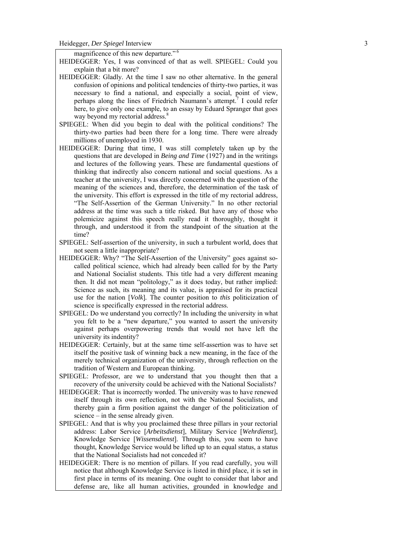magnificence of this new departure."<sup>6</sup>

- HEIDEGGER: Yes, I was convinced of that as well. SPIEGEL: Could you explain that a bit more?
- HEIDEGGER: Gladly. At the time I saw no other alternative. In the general confusion of opinions and political tendencies of thirty-two parties, it was necessary to find a national, and especially a social, point of view, perhaps along the lines of Friedrich Naumann's attempt.<sup>7</sup> I could refer here, to give only one example, to an essay by Eduard Spranger that goes way beyond my rectorial address.<sup>8</sup>
- SPIEGEL: When did you begin to deal with the political conditions? The thirty-two parties had been there for a long time. There were already millions of unemployed in 1930.
- HEIDEGGER: During that time, I was still completely taken up by the questions that are developed in *Being and Time* (1927) and in the writings and lectures of the following years. These are fundamental questions of thinking that indirectly also concern national and social questions. As a teacher at the university, I was directly concerned with the question of the meaning of the sciences and, therefore, the determination of the task of the university. This effort is expressed in the title of my rectorial address, "The Self-Assertion of the German University." In no other rectorial address at the time was such a title risked. But have any of those who polemicize against this speech really read it thoroughly, thought it through, and understood it from the standpoint of the situation at the time?
- SPIEGEL: Self-assertion of the university, in such a turbulent world, does that not seem a little inappropriate?
- HEIDEGGER: Why? "The Self-Assertion of the University" goes against socalled political science, which had already been called for by the Party and National Socialist students. This title had a very different meaning then. It did not mean "politology," as it does today, but rather implied: Science as such, its meaning and its value, is appraised for its practical use for the nation [*Volk* ]*.* The counter position to *this* politicization of science is specifically expressed in the rectorial address.
- SPIEGEL: Do we understand you correctly? In including the university in what you felt to be a "new departure," you wanted to assert the university against perhaps overpowering trends that would not have left the university its indentity?
- HEIDEGGER: Certainly, but at the same time self-assertion was to have set itself the positive task of winning back a new meaning, in the face of the merely technical organization of the university, through reflection on the tradition of Western and European thinking.
- SPIEGEL: Professor, are we to understand that you thought then that a recovery of the university could be achieved with the National Socialists?
- HEIDEGGER: That is incorrectly worded. The university was to have renewed itself through its own reflection, not with the National Socialists, and thereby gain a firm position against the danger of the politicization of science – in the sense already given.
- SPIEGEL: And that is why you proclaimed these three pillars in your rectorial address: Labor Service [*Arbeitsdienst*], Military Service [*Wehrdienst*], Knowledge Service [*Wissensdienst*]. Through this, you seem to have thought, Knowledge Service would be lifted up to an equal status, a status that the National Socialists had not conceded it?
- HEIDEGGER: There is no mention of pillars. If you read carefully, you will notice that although Knowledge Service is listed in third place, it is set in first place in terms of its meaning. One ought to consider that labor and defense are, like all human activities, grounded in knowledge and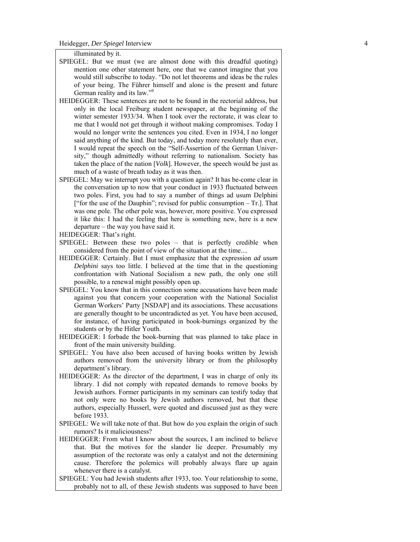illuminated by it.

- SPIEGEL: But we must (we are almost done with this dreadful quoting) mention one other statement here, one that we cannot imagine that you would still subscribe to today. "Do not let theorems and ideas be the rules of your being. The Führer himself and alone is the present and future German reality and its law."<sup>9</sup>
- HEIDEGGER: These sentences are not to be found in the rectorial address, but only in the local Freiburg student newspaper, at the beginning of the winter semester 1933/34. When I took over the rectorate, it was clear to me that I would not get through it without making compromises. Today I would no longer write the sentences you cited. Even in 1934, I no longer said anything of the kind. But today, and today more resolutely than ever, I would repeat the speech on the "Self-Assertion of the German University," though admittedly without referring to nationalism. Society has taken the place of the nation [*Volk* ]*.* However, the speech would be just as much of a waste of breath today as it was then.
- SPIEGEL: May we interrupt you with a question again? It has be-come clear in the conversation up to now that your conduct in 1933 fluctuated between two poles. First, you had to say a number of things ad usum Delphini ["for the use of the Dauphin"; revised for public consumption – Tr.]. That was one pole. The other pole was, however, more positive. You expressed it like this: I had the feeling that here is something new, here is a new departure – the way you have said it.

HEIDEGGER: That's right.

- SPIEGEL: Between these two poles that is perfectly credible when considered from the point of view of the situation at the time....
- HEIDEGGER: Certainly. But I must emphasize that the expression *ad usum Delphini* says too little. I believed at the time that in the questioning confrontation with National Socialism a new path, the only one still possible, to a renewal might possibly open up.
- SPIEGEL: You know that in this connection some accusations have been made against you that concern your cooperation with the National Socialist German Workers' Party [NSDAP] and its associations. These accusations are generally thought to be uncontradicted as yet. You have been accused, for instance, of having participated in book-burnings organized by the students or by the Hitler Youth.
- HEIDEGGER: I forbade the book-burning that was planned to take place in front of the main university building.
- SPIEGEL: You have also been accused of having books written by Jewish authors removed from the university library or from the philosophy department's library.
- HEIDEGGER: As the director of the department, I was in charge of only its library. I did not comply with repeated demands to remove books by Jewish authors. Former participants in my seminars can testify today that not only were no books by Jewish authors removed, but that these authors, especially Husserl, were quoted and discussed just as they were before 1933.
- SPIEGEL: We will take note of that. But how do you explain the origin of such rumors? Is it maliciousness?
- HEIDEGGER: From what I know about the sources, I am inclined to believe that. But the motives for the slander lie deeper. Presumably my assumption of the rectorate was only a catalyst and not the determining cause. Therefore the polemics will probably always flare up again whenever there is a catalyst.
- SPIEGEL: You had Jewish students after 1933, too. Your relationship to some, probably not to all, of these Jewish students was supposed to have been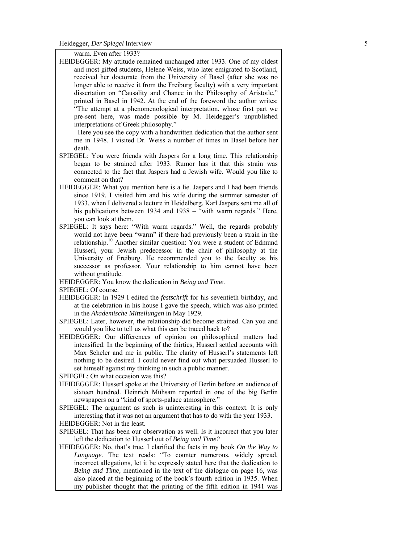warm. Even after 1933?

HEIDEGGER: My attitude remained unchanged after 1933. One of my oldest and most gifted students, Helene Weiss, who later emigrated to Scotland, received her doctorate from the University of Basel (after she was no longer able to receive it from the Freiburg faculty) with a very important dissertation on "Causality and Chance in the Philosophy of Aristotle," printed in Basel in 1942. At the end of the foreword the author writes: "The attempt at a phenomenological interpretation, whose first part we pre-sent here, was made possible by M. Heidegger's unpublished interpretations of Greek philosophy."

Here you see the copy with a handwritten dedication that the author sent me in 1948. I visited Dr. Weiss a number of times in Basel before her death.

- SPIEGEL: You were friends with Jaspers for a long time. This relationship began to be strained after 1933. Rumor has it that this strain was connected to the fact that Jaspers had a Jewish wife. Would you like to comment on that?
- HEIDEGGER: What you mention here is a lie. Jaspers and I had been friends since 1919. I visited him and his wife during the summer semester of 1933, when I delivered a lecture in Heidelberg. Karl Jaspers sent me all of his publications between 1934 and 1938 – "with warm regards." Here, you can look at them.
- SPIEGEL: It says here: "With warm regards." Well, the regards probably would not have been "warm" if there had previously been a strain in the relationship.10 Another similar question: You were a student of Edmund Husserl, your Jewish predecessor in the chair of philosophy at the University of Freiburg. He recommended you to the faculty as his successor as professor. Your relationship to him cannot have been without gratitude.

HEIDEGGER: You know the dedication in *Being and Time.* 

SPIEGEL: Of course.

- HEIDEGGER: In 1929 I edited the *festschrift* for his seventieth birthday, and at the celebration in his house I gave the speech, which was also printed in the *Akademische Mitteilungen* in May 1929.
- SPIEGEL: Later, however, the relationship did become strained. Can you and would you like to tell us what this can be traced back to?
- HEIDEGGER: Our differences of opinion on philosophical matters had intensified. In the beginning of the thirties, Husserl settled accounts with Max Scheler and me in public. The clarity of Husserl's statements left nothing to be desired. I could never find out what persuaded Husserl to set himself against my thinking in such a public manner.

SPIEGEL: On what occasion was this?

- HEIDEGGER: Husserl spoke at the University of Berlin before an audience of sixteen hundred. Heinrich Mühsam reported in one of the big Berlin newspapers on a "kind of sports-palace atmosphere."
- SPIEGEL: The argument as such is uninteresting in this context. It is only interesting that it was not an argument that has to do with the year 1933. HEIDEGGER: Not in the least.
- SPIEGEL: That has been our observation as well. Is it incorrect that you later left the dedication to Husserl out of *Being and Time?*
- HEIDEGGER: No, that's true. I clarified the facts in my book *On the Way to Language.* The text reads: "To counter numerous, widely spread, incorrect allegations, let it be expressly stated here that the dedication to *Being and Time,* mentioned in the text of the dialogue on page 16, was also placed at the beginning of the book's fourth edition in 1935. When my publisher thought that the printing of the fifth edition in 1941 was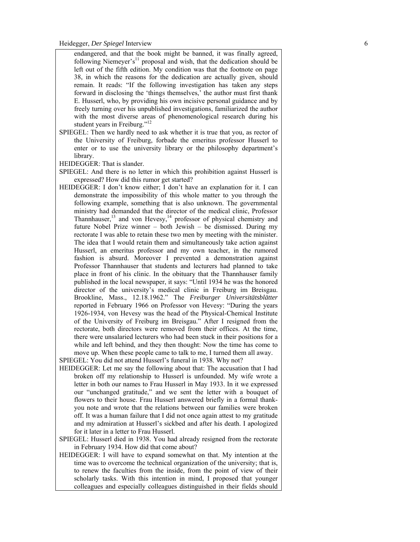endangered, and that the book might be banned, it was finally agreed, following Niemeyer's<sup>11</sup> proposal and wish, that the dedication should be left out of the fifth edition. My condition was that the footnote on page 38, in which the reasons for the dedication are actually given, should remain. It reads: "If the following investigation has taken any steps forward in disclosing the 'things themselves,' the author must first thank E. Husserl, who, by providing his own incisive personal guidance and by freely turning over his unpublished investigations, familiarized the author with the most diverse areas of phenomenological research during his student years in Freiburg."<sup>12</sup>

SPIEGEL: Then we hardly need to ask whether it is true that you, as rector of the University of Freiburg, forbade the emeritus professor Husserl to enter or to use the university library or the philosophy department's library.

HEIDEGGER: That is slander.

- SPIEGEL: And there is no letter in which this prohibition against Husserl is expressed? How did this rumor get started?
- HEIDEGGER: I don't know either; I don't have an explanation for it. I can demonstrate the impossibility of this whole matter to you through the following example, something that is also unknown. The governmental ministry had demanded that the director of the medical clinic, Professor Thannhauser,<sup>13</sup> and von Hevesy,<sup>14</sup> professor of physical chemistry and future Nobel Prize winner – both Jewish – be dismissed. During my rectorate I was able to retain these two men by meeting with the minister. The idea that I would retain them and simultaneously take action against Husserl, an emeritus professor and my own teacher, in the rumored fashion is absurd. Moreover I prevented a demonstration against Professor Thannhauser that students and lecturers had planned to take place in front of his clinic. In the obituary that the Thannhauser family published in the local newspaper, it says: "Until 1934 he was the honored director of the university's medical clinic in Freiburg im Breisgau. Brookline, Mass., 12.18.1962." The *Freiburger Universitätsblätter*  reported in February 1966 on Professor von Hevesy: "During the years 1926-1934, von Hevesy was the head of the Physical-Chemical Institute of the University of Freiburg im Breisgau." After I resigned from the rectorate, both directors were removed from their offices. At the time, there were unsalaried lecturers who had been stuck in their positions for a while and left behind, and they then thought: Now the time has come to move up. When these people came to talk to me, I turned them all away.

SPIEGEL: You did not attend Husserl's funeral in 1938. Why not?

- HEIDEGGER: Let me say the following about that: The accusation that I had broken off my relationship to Husserl is unfounded. My wife wrote a letter in both our names to Frau Husserl in May 1933. In it we expressed our "unchanged gratitude," and we sent the letter with a bouquet of flowers to their house. Frau Husserl answered briefly in a formal thankyou note and wrote that the relations between our families were broken off. It was a human failure that I did not once again attest to my gratitude and my admiration at Husserl's sickbed and after his death. I apologized for it later in a letter to Frau Husserl.
- SPIEGEL: Husserl died in 1938. You had already resigned from the rectorate in February 1934. How did that come about?
- HEIDEGGER: I will have to expand somewhat on that. My intention at the time was to overcome the technical organization of the university; that is, to renew the faculties from the inside, from the point of view of their scholarly tasks. With this intention in mind, I proposed that younger colleagues and especially colleagues distinguished in their fields should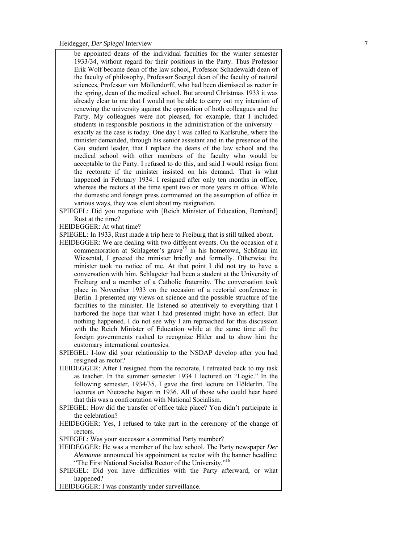be appointed deans of the individual faculties for the winter semester 1933/34, without regard for their positions in the Party. Thus Professor Erik Wolf became dean of the law school, Professor Schadewaldt dean of the faculty of philosophy, Professor Soergel dean of the faculty of natural sciences, Professor von Möllendorff, who had been dismissed as rector in the spring, dean of the medical school. But around Christmas 1933 it was already clear to me that I would not be able to carry out my intention of renewing the university against the opposition of both colleagues and the Party. My colleagues were not pleased, for example, that I included students in responsible positions in the administration of the university – exactly as the case is today. One day I was called to Karlsruhe, where the minister demanded, through his senior assistant and in the presence of the Gau student leader, that I replace the deans of the law school and the medical school with other members of the faculty who would be acceptable to the Party. I refused to do this, and said I would resign from the rectorate if the minister insisted on his demand. That is what happened in February 1934. I resigned after only ten months in office, whereas the rectors at the time spent two or more years in office. While the domestic and foreign press commented on the assumption of office in various ways, they was silent about my resignation.

- SPIEGEL: Did you negotiate with [Reich Minister of Education, Bernhard] Rust at the time?
- HEIDEGGER: At what time?
- SPIEGEL: In 1933, Rust made a trip here to Freiburg that is still talked about.
- HEIDEGGER: We are dealing with two different events. On the occasion of a commemoration at Schlageter's grave<sup>15</sup> in his hometown, Schönau im Wiesental, I greeted the minister briefly and formally. Otherwise the minister took no notice of me. At that point I did not try to have a conversation with him. Schlageter had been a student at the University of Freiburg and a member of a Catholic fraternity. The conversation took place in November 1933 on the occasion of a rectorial conference in Berlin. I presented my views on science and the possible structure of the faculties to the minister. He listened so attentively to everything that I harbored the hope that what I had presented might have an effect. But nothing happened. I do not see why I am reproached for this discussion with the Reich Minister of Education while at the same time all the foreign governments rushed to recognize Hitler and to show him the customary international courtesies.
- SPIEGEL: I-low did your relationship to the NSDAP develop after you had resigned as rector?
- HEIDEGGER: After I resigned from the rectorate, I retreated back to my task as teacher. In the summer semester 1934 I lectured on "Logic." In the following semester, 1934/35, I gave the first lecture on Hölderlin. The lectures on Nietzsche began in 1936. All of those who could hear heard that this was a confrontation with National Socialism.
- SPIEGEL: How did the transfer of office take place? You didn't participate in the celebration?
- HEIDEGGER: Yes, I refused to take part in the ceremony of the change of rectors.

SPIEGEL: Was your successor a committed Party member?

- HEIDEGGER: He was a member of the law school. The Party newspaper *Der Alemanne* announced his appointment as rector with the banner headline: "The First National Socialist Rector of the University."<sup>16</sup>
- SPIEGEL: Did you have difficulties with the Party afterward, or what happened?
- HEIDEGGER: I was constantly under surveillance.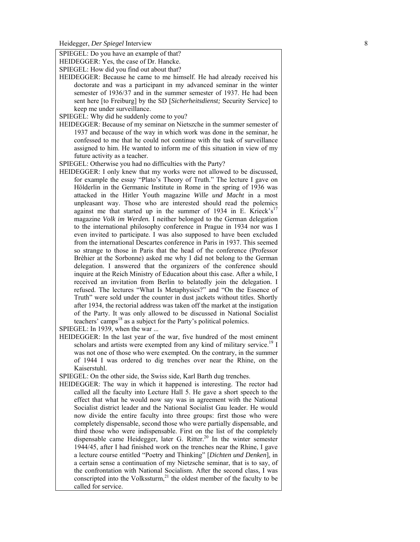SPIEGEL: Do you have an example of that?

HEIDEGGER: Yes, the case of Dr. Hancke.

SPIEGEL: How did you find out about that?

- HEIDEGGER: Because he came to me himself. He had already received his doctorate and was a participant in my advanced seminar in the winter semester of 1936/37 and in the summer semester of 1937. He had been sent here [to Freiburg] by the SD [*Sicherheitsdienst;* Security Service] to keep me under surveillance.
- SPIEGEL: Why did he suddenly come to you?
- HEIDEGGER: Because of my seminar on Nietszche in the summer semester of 1937 and because of the way in which work was done in the seminar, he confessed to me that he could not continue with the task of surveillance assigned to him. He wanted to inform me of this situation in view of my future activity as a teacher.

SPIEGEL: Otherwise you had no difficulties with the Party?

HEIDEGGER: I only knew that my works were not allowed to be discussed, for example the essay "Plato's Theory of Truth." The lecture I gave on Hölderlin in the Germanic Institute in Rome in the spring of 1936 was attacked in the Hitler Youth magazine *Wille und Macht* in a most unpleasant way. Those who are interested should read the polemics against me that started up in the summer of 1934 in E. Krieck's<sup>17</sup> magazine *Volk im Werden.* I neither belonged to the German delegation to the international philosophy conference in Prague in 1934 nor was I even invited to participate. I was also supposed to have been excluded from the international Descartes conference in Paris in 1937. This seemed so strange to those in Paris that the head of the conference (Professor Brèhier at the Sorbonne) asked me why I did not belong to the German delegation. I answered that the organizers of the conference should inquire at the Reich Ministry of Education about this case. After a while, I received an invitation from Berlin to belatedly join the delegation. I refused. The lectures "What Is Metaphysics?" and "On the Essence of Truth" were sold under the counter in dust jackets without titles. Shortly after 1934, the rectorial address was taken off the market at the instigation of the Party. It was only allowed to be discussed in National Socialist teachers' camps<sup>18</sup> as a subject for the Party's political polemics.

SPIEGEL: In 1939, when the war ...

HEIDEGGER: In the last year of the war, five hundred of the most eminent scholars and artists were exempted from any kind of military service.<sup>19</sup> I was not one of those who were exempted. On the contrary, in the summer of 1944 I was ordered to dig trenches over near the Rhine, on the Kaiserstuhl.

SPIEGEL: On the other side, the Swiss side, Karl Barth dug trenches.

HEIDEGGER: The way in which it happened is interesting. The rector had called all the faculty into Lecture Hall 5. He gave a short speech to the effect that what he would now say was in agreement with the National Socialist district leader and the National Socialist Gau leader. He would now divide the entire faculty into three groups: first those who were completely dispensable, second those who were partially dispensable, and third those who were indispensable. First on the list of the completely dispensable came Heidegger, later G. Ritter.<sup>20</sup> In the winter semester 1944/45, after I had finished work on the trenches near the Rhine, I gave a lecture course entitled "Poetry and Thinking" [*Dichten und Denken*], in a certain sense a continuation of my Nietzsche seminar, that is to say, of the confrontation with National Socialism. After the second class, I was conscripted into the Volkssturm, $^{21}$  the oldest member of the faculty to be called for service.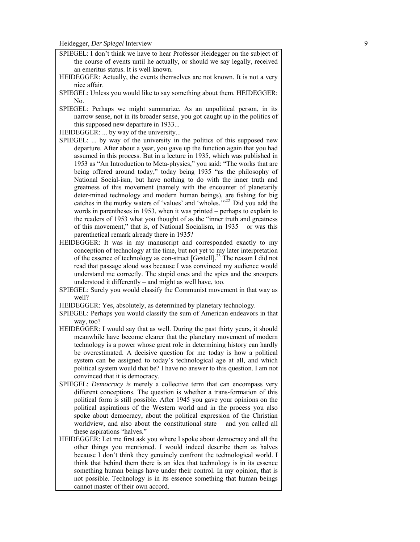- SPIEGEL: I don't think we have to hear Professor Heidegger on the subject of the course of events until he actually, or should we say legally, received an emeritus status. It is well known.
- HEIDEGGER: Actually, the events themselves are not known. It is not a very nice affair.
- SPIEGEL: Unless you would like to say something about them. HEIDEGGER: No.
- SPIEGEL: Perhaps we might summarize. As an unpolitical person, in its narrow sense, not in its broader sense, you got caught up in the politics of this supposed new departure in 1933...
- HEIDEGGER: ... by way of the university...
- SPIEGEL: ... by way of the university in the politics of this supposed new departure. After about a year, you gave up the function again that you had assumed in this process. But in a lecture in 1935, which was published in 1953 as "An Introduction to Meta-physics," you said: "The works that are being offered around today," today being 1935 "as the philosophy of National Social-ism, but have nothing to do with the inner truth and greatness of this movement (namely with the encounter of planetarily deter-mined technology and modern human beings), are fishing for big catches in the murky waters of 'values' and 'wholes.'"<sup>22</sup> Did you add the words in parentheses in 1953, when it was printed – perhaps to explain to the readers of 1953 what you thought of as the "inner truth and greatness of this movement," that is, of National Socialism, in 1935 – or was this parenthetical remark already there in 1935?
- HEIDEGGER: It was in my manuscript and corresponded exactly to my conception of technology at the time, but not yet to my later interpretation of the essence of technology as con-struct [*Ge*stell].23 The reason I did not read that passage aloud was because I was convinced my audience would understand me correctly. The stupid ones and the spies and the snoopers understood it differently – and might as well have, too.
- SPIEGEL: Surely you would classify the Communist movement in that way as well?
- HEIDEGGER: Yes, absolutely, as determined by planetary technology.
- SPIEGEL: Perhaps you would classify the sum of American endeavors in that way, too?
- HEIDEGGER: I would say that as well. During the past thirty years, it should meanwhile have become clearer that the planetary movement of modern technology is a power whose great role in determining history can hardly be overestimated. A decisive question for me today is how a political system can be assigned to today's technological age at all, and which political system would that be? I have no answer to this question. I am not convinced that it is democracy.
- SPIEGEL: *Democracy is* merely a collective term that can encompass very different conceptions. The question is whether a trans-formation of this political form is still possible. After 1945 you gave your opinions on the political aspirations of the Western world and in the process you also spoke about democracy, about the political expression of the Christian worldview, and also about the constitutional state – and you called all these aspirations "halves."
- HEIDEGGER: Let me first ask you where I spoke about democracy and all the other things you mentioned. I would indeed describe them as halves because I don't think they genuinely confront the technological world. I think that behind them there is an idea that technology is in its essence something human beings have under their control. In my opinion, that is not possible. Technology is in its essence something that human beings cannot master of their own accord.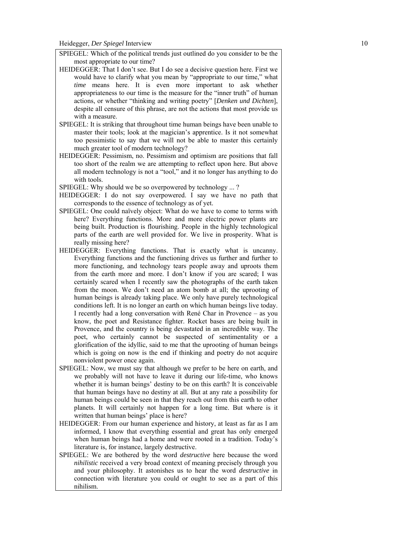SPIEGEL: Which of the political trends just outlined do you consider to be the most appropriate to our time?

- HEIDEGGER: That I don't see. But I do see a decisive question here. First we would have to clarify what you mean by "appropriate to our time," what *time* means here. It is even more important to ask whether appropriateness to our time is the measure for the "inner truth" of human actions, or whether "thinking and writing poetry" [*Denken und Dichten*], despite all censure of this phrase, are not the actions that most provide us with a measure.
- SPIEGEL: It is striking that throughout time human beings have been unable to master their tools; look at the magician's apprentice. Is it not somewhat too pessimistic to say that we will not be able to master this certainly much greater tool of modern technology?
- HEIDEGGER: Pessimism, no. Pessimism and optimism are positions that fall too short of the realm we are attempting to reflect upon here. But above all modern technology is not a "tool," and it no longer has anything to do with tools.
- SPIEGEL: Why should we be so overpowered by technology ...?
- HEIDEGGER: I do not say overpowered. I say we have no path that corresponds to the essence of technology as of yet.
- SPIEGEL: One could naïvely object: What do we have to come to terms with here? Everything functions. More and more electric power plants are being built. Production is flourishing. People in the highly technological parts of the earth are well provided for. We live in prosperity. What is really missing here?
- HEIDEGGER: Everything functions. That is exactly what is uncanny. Everything functions and the functioning drives us further and further to more functioning, and technology tears people away and uproots them from the earth more and more. I don't know if you are scared; I was certainly scared when I recently saw the photographs of the earth taken from the moon. We don't need an atom bomb at all; the uprooting of human beings is already taking place. We only have purely technological conditions left. It is no longer an earth on which human beings live today. I recently had a long conversation with René Char in Provence – as you know, the poet and Resistance fighter. Rocket bases are being built in Provence, and the country is being devastated in an incredible way. The poet, who certainly cannot be suspected of sentimentality or a glorification of the idyllic, said to me that the uprooting of human beings which is going on now is the end if thinking and poetry do not acquire nonviolent power once again.
- SPIEGEL: Now, we must say that although we prefer to be here on earth, and we probably will not have to leave it during our life-time, who knows whether it is human beings' destiny to be on this earth? It is conceivable that human beings have no destiny at all. But at any rate a possibility for human beings could be seen in that they reach out from this earth to other planets. It will certainly not happen for a long time. But where is it written that human beings' place is here?
- HEIDEGGER: From our human experience and history, at least as far as I am informed, I know that everything essential and great has only emerged when human beings had a home and were rooted in a tradition. Today's literature is, for instance, largely destructive.
- SPIEGEL: We are bothered by the word *destructive* here because the word *nihilistic* received a very broad context of meaning precisely through you and your philosophy. It astonishes us to hear the word *destructive* in connection with literature you could or ought to see as a part of this nihilism.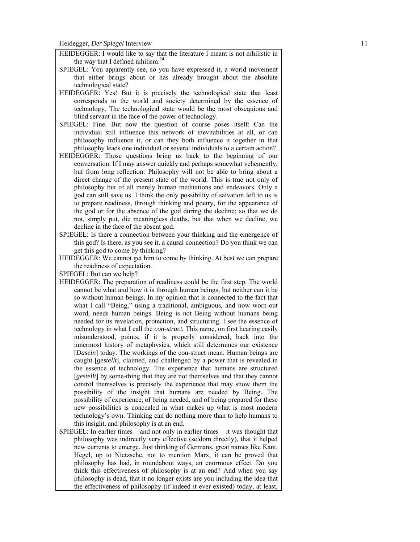- HEIDEGGER: I would like to say that the literature I meant is not nihilistic in the way that I defined nihilism. $^{24}$
- SPIEGEL: You apparently see, so you have expressed it, a world movement that either brings about or has already brought about the absolute technological state?
- HEIDEGGER: Yes! But it is precisely the technological state that least corresponds to the world and society determined by the essence of technology. The technological state would be the most obsequious and blind servant in the face of the power of technology.
- SPIEGEL: Fine. But now the question of course poses itself: Can the individual still influence this network of inevitabilities at all, or can philosophy influence it, or can they both influence it together in that philosophy leads one individual or several individuals to a certain action?
- HEIDEGGER: Those questions bring us back to the beginning of our conversation. If I may answer quickly and perhaps somewhat vehemently, but from long reflection: Philosophy will not be able to bring about a direct change of the present state of the world. This is true not only of philosophy but of all merely human meditations and endeavors. Only a god can still save us. I think the only possibility of salvation left to us is to prepare readiness, through thinking and poetry, for the appearance of the god or for the absence of the god during the decline; so that we do not, simply put, die meaningless deaths, but that when we decline, we decline in the face of the absent god.
- SPIEGEL: Is there a connection between your thinking and the emergence of this god? Is there, as you see it, a causal connection? Do you think we can get this god to come by thinking?
- HEIDEGGER: We cannot get him to come by thinking. At best we can prepare the readiness of expectation.
- SPIEGEL: But can we help?
- HEIDEGGER: The preparation of readiness could be the first step. The world cannot be what and how it is through human beings, but neither can it be so without human beings. In my opinion that is connected to the fact that what I call "Being," using a traditional, ambiguous, and now worn-out word, needs human beings. Being is not Being without humans being needed for its revelation, protection, and structuring. I see the essence of technology in what I call the *con-struct.* This name, on first hearing easily misunderstood, points, if it is properly considered, back into the innermost history of metaphysics, which still determines our existence [*Dasein*] today. The workings of the con-struct mean: Human beings are caught [*gestellt*], claimed, and challenged by a power that is revealed in the essence of technology. The experience that humans are structured [*gestellt*] by some-thing that they are not themselves and that they cannot control themselves is precisely the experience that may show them the possibility of the insight that humans are needed by Being. The possibility of experience, of being needed, and of being prepared for these new possibilities is concealed in what makes up what is most modern technology's own. Thinking can do nothing more than to help humans to this insight, and philosophy is at an end.
- SPIEGEL: In earlier times and not only in earlier times it was thought that philosophy was indirectly very effective (seldom directly), that it helped new currents to emerge. Just thinking of Germans, great names like Kant, Hegel, up to Nietzsche, not to mention Marx, it can be proved that philosophy has had, in roundabout ways, an enormous effect. Do you think this effectiveness of philosophy is at an end? And when you say philosophy is dead, that it no longer exists are you including the idea that the effectiveness of philosophy (if indeed it ever existed) today, at least,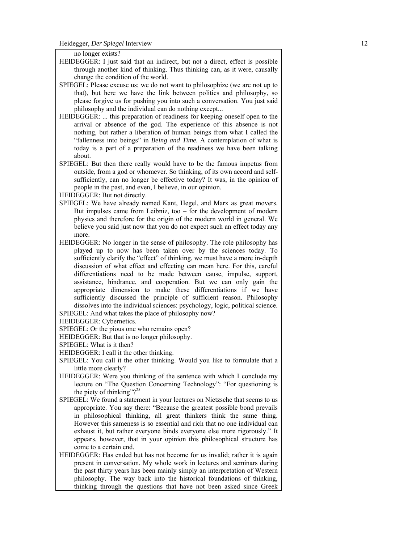## no longer exists?

- HEIDEGGER: I just said that an indirect, but not a direct, effect is possible through another kind of thinking. Thus thinking can, as it were, causally change the condition of the world.
- SPIEGEL: Please excuse us; we do not want to philosophize (we are not up to that), but here we have the link between politics and philosophy, so please forgive us for pushing you into such a conversation. You just said philosophy and the individual can do nothing except...
- HEIDEGGER: ... this preparation of readiness for keeping oneself open to the arrival or absence of the god. The experience of this absence is not nothing, but rather a liberation of human beings from what I called the "fallenness into beings" in *Being and Time.* A contemplation of what is today is a part of a preparation of the readiness we have been talking about.
- SPIEGEL: But then there really would have to be the famous impetus from outside, from a god or whomever. So thinking, of its own accord and selfsufficiently, can no longer be effective today? It was, in the opinion of people in the past, and even, I believe, in our opinion.
- HEIDEGGER: But not directly.
- SPIEGEL: We have already named Kant, Hegel, and Marx as great movers. But impulses came from Leibniz, too – for the development of modern physics and therefore for the origin of the modern world in general. We believe you said just now that you do not expect such an effect today any more.
- HEIDEGGER: No longer in the sense of philosophy. The role philosophy has played up to now has been taken over by the sciences today. To sufficiently clarify the "effect" of thinking, we must have a more in-depth discussion of what effect and effecting can mean here. For this, careful differentiations need to be made between cause, impulse, support, assistance, hindrance, and cooperation. But we can only gain the appropriate dimension to make these differentiations if we have sufficiently discussed the principle of sufficient reason. Philosophy dissolves into the individual sciences: psychology, logic, political science.
- SPIEGEL: And what takes the place of philosophy now?
- HEIDEGGER: Cybernetics.
- SPIEGEL: Or the pious one who remains open?
- HEIDEGGER: But that is no longer philosophy.
- SPIEGEL: What is it then?
- HEIDEGGER: I call it the other thinking.
- SPIEGEL: You call it the other thinking. Would you like to formulate that a little more clearly?
- HEIDEGGER: Were you thinking of the sentence with which I conclude my lecture on "The Question Concerning Technology": "For questioning is the piety of thinking"? $25$
- SPIEGEL: We found a statement in your lectures on Nietzsche that seems to us appropriate. You say there: "Because the greatest possible bond prevails in philosophical thinking, all great thinkers think the same thing. However this sameness is so essential and rich that no one individual can exhaust it, but rather everyone binds everyone else more rigorously." It appears, however, that in your opinion this philosophical structure has come to a certain end.
- HEIDEGGER: Has ended but has not become for us invalid; rather it is again present in conversation. My whole work in lectures and seminars during the past thirty years has been mainly simply an interpretation of Western philosophy. The way back into the historical foundations of thinking, thinking through the questions that have not been asked since Greek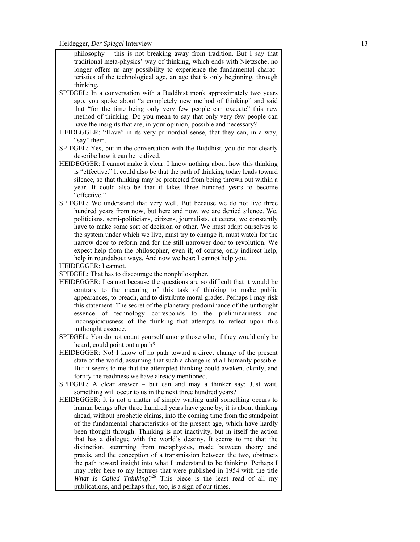philosophy – this is not breaking away from tradition. But I say that traditional meta-physics' way of thinking, which ends with Nietzsche, no longer offers us any possibility to experience the fundamental characteristics of the technological age, an age that is only beginning, through thinking.

- SPIEGEL: In a conversation with a Buddhist monk approximately two years ago, you spoke about "a completely new method of thinking" and said that "for the time being only very few people can execute" this new method of thinking. Do you mean to say that only very few people can have the insights that are, in your opinion, possible and necessary?
- HEIDEGGER: "Have" in its very primordial sense, that they can, in a way, "say" them.
- SPIEGEL: Yes, but in the conversation with the Buddhist, you did not clearly describe how it can be realized.
- HEIDEGGER: I cannot make it clear. I know nothing about how this thinking is "effective." It could also be that the path of thinking today leads toward silence, so that thinking may be protected from being thrown out within a year. It could also be that it takes three hundred years to become "effective."
- SPIEGEL: We understand that very well. But because we do not live three hundred years from now, but here and now, we are denied silence. We, politicians, semi-politicians, citizens, journalists, et cetera, we constantly have to make some sort of decision or other. We must adapt ourselves to the system under which we live, must try to change it, must watch for the narrow door to reform and for the still narrower door to revolution. We expect help from the philosopher, even if, of course, only indirect help, help in roundabout ways. And now we hear: I cannot help you.

HEIDEGGER: I cannot.

SPIEGEL: That has to discourage the nonphilosopher.

- HEIDEGGER: I cannot because the questions are so difficult that it would be contrary to the meaning of this task of thinking to make public appearances, to preach, and to distribute moral grades. Perhaps I may risk this statement: The secret of the planetary predominance of the unthought essence of technology corresponds to the preliminariness and inconspiciousness of the thinking that attempts to reflect upon this unthought essence.
- SPIEGEL: You do not count yourself among those who, if they would only be heard, could point out a path?
- HEIDEGGER: No! I know of no path toward a direct change of the present state of the world, assuming that such a change is at all humanly possible. But it seems to me that the attempted thinking could awaken, clarify, and fortify the readiness we have already mentioned.
- SPIEGEL: A clear answer but can and may a thinker say: Just wait, something will occur to us in the next three hundred years?
- HEIDEGGER: It is not a matter of simply waiting until something occurs to human beings after three hundred years have gone by; it is about thinking ahead, without prophetic claims, into the coming time from the standpoint of the fundamental characteristics of the present age, which have hardly been thought through. Thinking is not inactivity, but in itself the action that has a dialogue with the world's destiny. It seems to me that the distinction, stemming from metaphysics, made between theory and praxis, and the conception of a transmission between the two, obstructs the path toward insight into what I understand to be thinking. Perhaps I may refer here to my lectures that were published in 1954 with the title *What Is Called Thinking?*<sup>26</sup> This piece is the least read of all my publications, and perhaps this, too, is a sign of our times.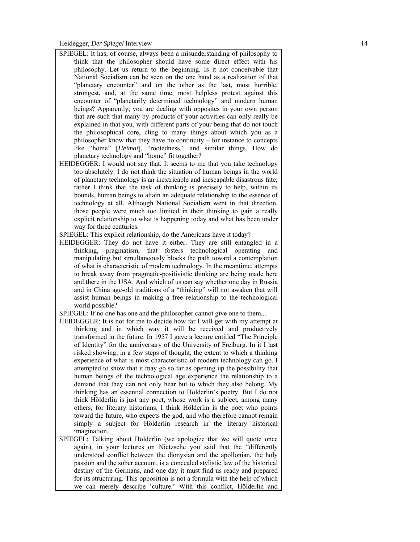- SPIEGEL: It has, of course, always been a misunderstanding of philosophy to think that the philosopher should have some direct effect with his philosophy. Let us return to the beginning. Is it not conceivable that National Socialism can be seen on the one hand as a realization of that "planetary encounter" and on the other as the last, most horrible, strongest, and, at the same time, most helpless protest against this encounter of "planetarily determined technology" and modern human beings? Apparently, you are dealing with opposites in your own person that are such that many by-products of your activities can only really be explained in that you, with different parts of your being that do not touch the philosophical core, cling to many things about which you as a philosopher know that they have no continuity – for instance to concepts like "home" [*Heimat*], "rootedness," and similar things. How do planetary technology and "home" fit together?
- HEIDEGGER: I would not say that. It seems to me that you take technology too absolutely. I do not think the situation of human beings in the world of planetary technology is an inextricable and inescapable disastrous fate; rather I think that the task of thinking is precisely to help, within its bounds, human beings to attain an adequate relationship to the essence of technology at all. Although National Socialism went in that direction, those people were much too limited in their thinking to gain a really explicit relationship to what is happening today and what has been under way for three centuries.
- SPIEGEL: This explicit relationship, do the Americans have it today?
- HEIDEGGER: They do not have it either. They are still entangled in a thinking, pragmatism, that fosters technological operating and manipulating but simultaneously blocks the path toward a contemplation of what is characteristic of modern technology. In the meantime, attempts to break away from pragmatic-positivistic thinking are being made here and there in the USA. And which of us can say whether one day in Russia and in China age-old traditions of a "thinking" will not awaken that will assist human beings in making a free relationship to the technological world possible?
- SPIEGEL: If no one has one and the philosopher cannot give one to them...
- HEIDEGGER: It is not for me to decide how far I will get with my attempt at thinking and in which way it will be received and productively transformed in the future. In 1957 I gave a lecture entitled "The Principle of Identity" for the anniversary of the University of Freiburg. In it I last risked showing, in a few steps of thought, the extent to which a thinking experience of what is most characteristic of modern technology can go. I attempted to show that it may go so far as opening up the possibility that human beings of the technological age experience the relationship to a demand that they can not only hear but to which they also belong. My thinking has an essential connection to Hölderlin's poetry. But I do not think Hölderlin is just any poet, whose work is a subject, among many others, for literary historians. I think Hölderlin is the poet who points toward the future, who expects the god, and who therefore cannot remain simply a subject for Hölderlin research in the literary historical imagination.
- SPIEGEL: Talking about Hölderlin (we apologize that we will quote once again), in your lectures on Nietzsche you said that the "differently understood conflict between the dionysian and the apollonian, the holy passion and the sober account, is a concealed stylistic law of the historical destiny of the Germans, and one day it must find us ready and prepared for its structuring. This opposition is not a formula with the help of which we can merely describe 'culture.' With this conflict, Hölderlin and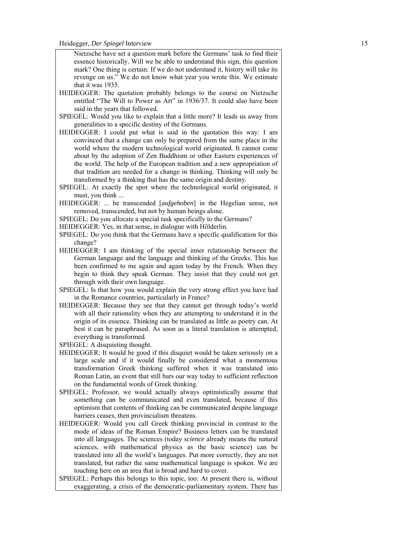Nietzsche have set a question mark before the Germans' task to find their essence historically. Will we be able to understand this sign, this question mark? One thing is certain: If we do not understand it, history will take its revenge on us." We do not know what year you wrote this. We estimate that it was 1935.

- HEIDEGGER: The quotation probably belongs to the course on Nietzsche entitled "The Will to Power as Art" in 1936/37. It could also have been said in the years that followed.
- SPIEGEL: Would you like to explain that a little more? It leads us away from generalities to a specific destiny of the Germans.
- HEIDEGGER: I could put what is said in the quotation this way: I am convinced that a change can only be prepared from the same place in the world where the modern technological world originated. It cannot come about by the adoption of Zen Buddhism or other Eastern experiences of the world. The help of the European tradition and a new appropriation of that tradition are needed for a change in thinking. Thinking will only be transformed by a thinking that has the same origin and destiny.
- SPIEGEL: At exactly the spot where the technological world originated, it must, you think ...
- HEIDEGGER: ... be transcended [*aufgehoben* ] in the Hegelian sense, not removed, transcended, but not by human beings alone.
- SPIEGEL: Do you allocate a special task specifically to the Germans?
- HEIDEGGER: Yes, in that sense, in dialogue with Hölderlin.
- SPIEGEL: Do you think that the Germans have a specific qualification for this change?
- HEIDEGGER: I am thinking of the special inner relationship between the German language and the language and thinking of the Greeks. This has been confirmed to me again and again today by the French. When they begin to think they speak German. They insist that they could not get through with their own language.
- SPIEGEL: Is that how you would explain the very strong effect you have had in the Romance countries, particularly in France?
- HEIDEGGER: Because they see that they cannot get through today's world with all their rationality when they are attempting to understand it in the origin of its essence. Thinking can be translated as little as poetry can. At best it can be paraphrased. As soon as a literal translation is attempted, everything is transformed.

SPIEGEL: A disquieting thought.

- HEIDEGGER: It would be good if this disquiet would be taken seriously on a large scale and if it would finally be considered what a momentous transformation Greek thinking suffered when it was translated into Roman Latin, an event that still bars our way today to sufficient reflection on the fundamental words of Greek thinking.
- SPIEGEL: Professor, we would actually always optimistically assume that something can be communicated and even translated, because if this optimism that contents of thinking can be communicated despite language barriers ceases, then provincialism threatens.
- HEIDEGGER: Would you call Greek thinking provincial in contrast to the mode of ideas of the Roman Empire? Business letters can be translated into all languages. The sciences (today *science* already means the natural sciences, with mathematical physics as the basic science) can be translated into all the world's languages. Put more correctly, they are not translated, but rather the same mathematical language is spoken. We are touching here on an area that is broad and hard to cover.
- SPIEGEL: Perhaps this belongs to this topic, too: At present there is, without exaggerating, a crisis of the democratic-parliamentary system. There has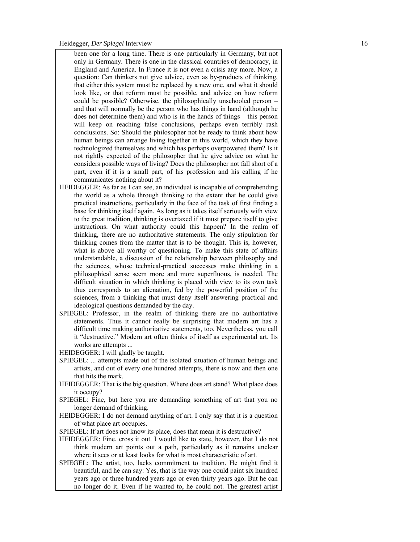been one for a long time. There is one particularly in Germany, but not only in Germany. There is one in the classical countries of democracy, in England and America. In France it is not even a crisis any more. Now, a question: Can thinkers not give advice, even as by-products of thinking, that either this system must be replaced by a new one, and what it should look like, or that reform must be possible, and advice on how reform could be possible? Otherwise, the philosophically unschooled person – and that will normally be the person who has things in hand (although he does not determine them) and who is in the hands of things – this person will keep on reaching false conclusions, perhaps even terribly rash conclusions. So: Should the philosopher not be ready to think about how human beings can arrange living together in this world, which they have technologized themselves and which has perhaps overpowered them? Is it not rightly expected of the philosopher that he give advice on what he considers possible ways of living? Does the philosopher not fall short of a part, even if it is a small part, of his profession and his calling if he communicates nothing about it?

- HEIDEGGER: As far as I can see, an individual is incapable of comprehending the world as a whole through thinking to the extent that he could give practical instructions, particularly in the face of the task of first finding a base for thinking itself again. As long as it takes itself seriously with view to the great tradition, thinking is overtaxed if it must prepare itself to give instructions. On what authority could this happen? In the realm of thinking, there are no authoritative statements. The only stipulation for thinking comes from the matter that is to be thought. This is, however, what is above all worthy of questioning. To make this state of affairs understandable, a discussion of the relationship between philosophy and the sciences, whose technical-practical successes make thinking in a philosophical sense seem more and more superfluous, is needed. The difficult situation in which thinking is placed with view to its own task thus corresponds to an alienation, fed by the powerful position of the sciences, from a thinking that must deny itself answering practical and ideological questions demanded by the day.
- SPIEGEL: Professor, in the realm of thinking there are no authoritative statements. Thus it cannot really be surprising that modern art has a difficult time making authoritative statements, too. Nevertheless, you call it "destructive." Modern art often thinks of itself as experimental art. Its works are attempts ...
- HEIDEGGER: I will gladly be taught.
- SPIEGEL: ... attempts made out of the isolated situation of human beings and artists, and out of every one hundred attempts, there is now and then one that hits the mark.
- HEIDEGGER: That is the big question. Where does art stand? What place does it occupy?
- SPIEGEL: Fine, but here you are demanding something of art that you no longer demand of thinking.
- HEIDEGGER: I do not demand anything of art. I only say that it is a question of what place art occupies.
- SPIEGEL: If art does not know its place, does that mean it is destructive?
- HEIDEGGER: Fine, cross it out. I would like to state, however, that I do not think modern art points out a path, particularly as it remains unclear where it sees or at least looks for what is most characteristic of art.
- SPIEGEL: The artist, too, lacks commitment to tradition. He might find it beautiful, and he can say: Yes, that is the way one could paint six hundred years ago or three hundred years ago or even thirty years ago. But he can no longer do it. Even if he wanted to, he could not. The greatest artist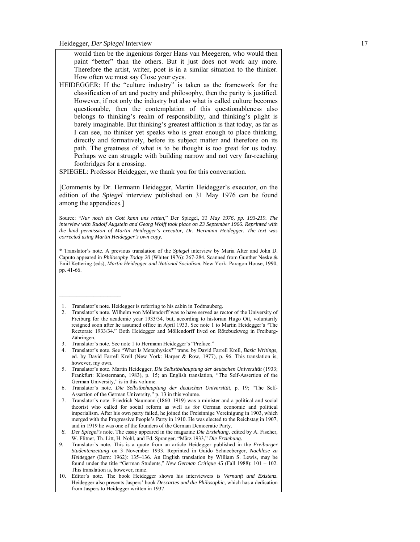would then be the ingenious forger Hans van Meegeren, who would then paint "better" than the others. But it just does not work any more. Therefore the artist, writer, poet is in a similar situation to the thinker. How often we must say Close your eyes.

HEIDEGGER: If the "culture industry" is taken as the framework for the classification of art and poetry and philosophy, then the parity is justified. However, if not only the industry but also what is called culture becomes questionable, then the contemplation of this questionableness also belongs to thinking's realm of responsibility, and thinking's plight is barely imaginable. But thinking's greatest affliction is that today, as far as I can see, no thinker yet speaks who is great enough to place thinking, directly and formatively, before its subject matter and therefore on its path. The greatness of what is to be thought is too great for us today. Perhaps we can struggle with building narrow and not very far-reaching footbridges for a crossing.

SPIEGEL: Professor Heidegger, we thank you for this conversation.

[Comments by Dr. Hermann Heidegger, Martin Heidegger's executor, on the edition of the *Spiegel* interview published on 31 May 1976 can be found among the appendices.]

Source: "*Nur noch ein Gott kann uns retten,*" Der Spiegel, *31 May 1976, pp. 193-219. The interview with Rudolf Augstein and Georg Wolff took place on 23 September 1966. Reprinted with the kind permission of Martin Heidegger's executor, Dr. Hermann Heidegger. The text was corrected using Martin Heidegger's own copy.* 

\* Translator's note. A previous translation of the *Spiegel* interview by Maria Alter and John D. Caputo appeared in *Philosophy Today 20* (Whiter 1976): 267-284*.* Scanned from Gunther Neske & Emil Kettering (eds), *Martin Heidegger and National Socialism*, New York: Paragon House, 1990, pp. 41-66.

1. Translator's note. Heidegger is referring to his cabin in Todtnauberg.

 $\overline{\phantom{a}}$  , where  $\overline{\phantom{a}}$ 

- 2. Translator's note. Wilhelm von Möllendorff was to have served as rector of the University of Freiburg for the academic year 1933/34, but, according to historian Hugo Ott, voluntarily resigned soon after he assumed office in April 1933. See note 1 to Martin Heidegger's "The Rectorate 1933/34." Both Heidegger and Möllendorff lived on Rötebuckweg in Freiburg-Zähringen.
- 3. Translator's note. See note 1 to Hermann Heidegger's "Preface."
- 4. Translator's note. See "What Is Metaphysics?" trans. by David Farrell Krell, *Basic Writings,*  ed. by David Farrell Krell (New York: Harper & Row, 1977), p. 96. This translation is, however, my own.
- 5. Translator's note. Martin Heidegger, *Die Selbstbehauptung der deutschen Universität* (1933; Frankfurt: Klostermann, 1983), p. 15; an English translation, "The Self-Assertion of the German University," is in this volume.
- 6. Translator's note. *Die Selbstbehauptung der deutschen Universität,* p. 19; "The Self-Assertion of the German University," p. 13 in this volume.
- 7. Translator's note. Friedrich Naumann (1860–1919) was a minister and a political and social theorist who called for social reform as well as for German economic and political imperialism. After his own party failed, he joined the Freisinnige Vereinigung in 1903, which merged with the Progressive People's Party in 1910. He was elected to the Reichstag in 1907, and in 1919 he was one of the founders of the German Democratic Party.
- *8. Der Spiegel's* note. The essay appeared in the magazine *Die Erziehung,* edited by A. Fischer, W. Flitner, Th. Litt, H. Nohl, and Ed. Spranger. "März 1933," *Die Erziehung.*
- 9. Translator's note. This is a quote from an article Heidegger published in the *Freiburger Studentenzeitung* on 3 November 1933. Reprinted in Guido Schneeberger, *Nachlese zu Heidegger* (Bern: 1962): 135–136. An English translation by William S. Lewis, may be found under the title "German Students," *New German Critique 45* (Fall 1988): 101 – 102. This translation is, however, mine.
- 10. Editor's note. The book Heidegger shows his interviewers is *Vernunft und Existenz.*  Heidegger also presents Jaspers' book *Descartes und die Philosophic,* which has a dedication from Jaspers to Heidegger written in 1937.